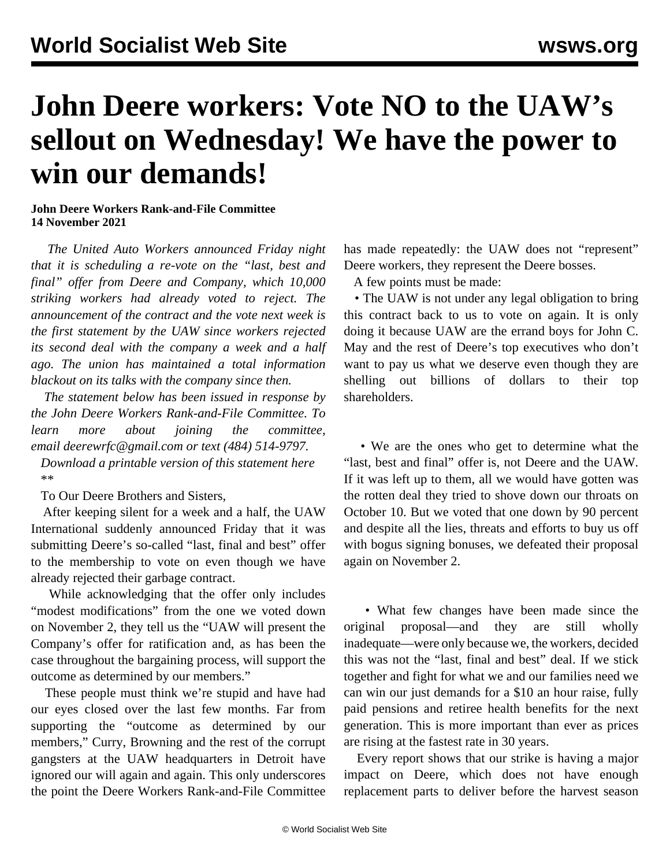## **John Deere workers: Vote NO to the UAW's sellout on Wednesday! We have the power to win our demands!**

## **John Deere Workers Rank-and-File Committee 14 November 2021**

 *The United Auto Workers announced Friday night that it is scheduling a re-vote on the "last, best and final" offer from Deere and Company, which 10,000 striking workers had already voted to reject. The announcement of the contract and the vote next week is the first statement by the UAW since workers rejected its second deal with the company a week and a half ago. The union has maintained a total information blackout on its talks with the company since then.*

 *The statement below has been issued in response by the John Deere Workers Rank-and-File Committee. To learn more about joining the committee, email [deerewrfc@gmail.com](mailto:deerewrfc@gmail.com) or text (484) 514-9797.*

 *[Download a printable version of this statement here](https://drive.google.com/file/d/1-uzQbNI--aKGh1DOYcQOTjoZ2HDGYHDL/view?usp=sharing)* \*\*

To Our Deere Brothers and Sisters,

 After keeping silent for a week and a half, the UAW International suddenly announced Friday that it was submitting Deere's so-called "last, final and best" offer to the membership to vote on even though we have already rejected their garbage contract.

 While acknowledging that the offer only includes "modest modifications" from the one we voted down on November 2, they tell us the "UAW will present the Company's offer for ratification and, as has been the case throughout the bargaining process, will support the outcome as determined by our members."

 These people must think we're stupid and have had our eyes closed over the last few months. Far from supporting the "outcome as determined by our members," Curry, Browning and the rest of the corrupt gangsters at the UAW headquarters in Detroit have ignored our will again and again. This only underscores the point the Deere Workers Rank-and-File Committee

has made repeatedly: the UAW does not "represent" Deere workers, they represent the Deere bosses.

A few points must be made:

• The UAW is not under any legal obligation to bring this contract back to us to vote on again. It is only doing it because UAW are the errand boys for John C. May and the rest of Deere's top executives who don't want to pay us what we deserve even though they are shelling out billions of dollars to their top shareholders.

 • We are the ones who get to determine what the "last, best and final" offer is, not Deere and the UAW. If it was left up to them, all we would have gotten was the rotten deal they tried to shove down our throats on October 10. But we voted that one down by 90 percent and despite all the lies, threats and efforts to buy us off with bogus signing bonuses, we defeated their proposal again on November 2.

 • What few changes have been made since the original proposal—and they are still wholly inadequate—were only because we, the workers, decided this was not the "last, final and best" deal. If we stick together and fight for what we and our families need we can win our just demands for a \$10 an hour raise, fully paid pensions and retiree health benefits for the next generation. This is more important than ever as prices are rising at the fastest rate in 30 years.

 Every report shows that our strike is having a major impact on Deere, which does not have enough replacement parts to deliver before the harvest season